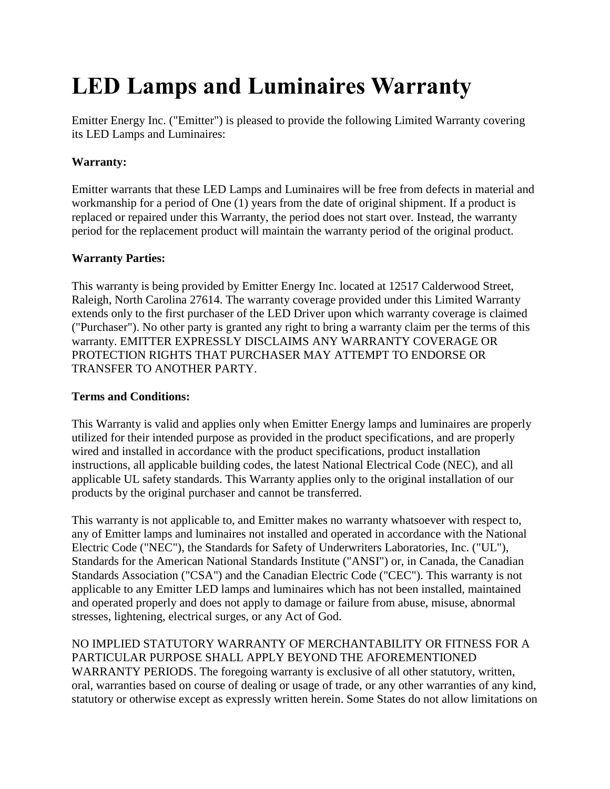# **LED Lamps and Luminaires Warranty**

Emitter Energy Inc. ("Emitter") is pleased to provide the following Limited Warranty covering its LED Lamps and Luminaires:

## **Warranty:**

Emitter warrants that these LED Lamps and Luminaires will be free from defects in material and workmanship for a period of One (1) years from the date of original shipment. If a product is replaced or repaired under this Warranty, the period does not start over. Instead, the warranty period for the replacement product will maintain the warranty period of the original product.

## **Warranty Parties:**

This warranty is being provided by Emitter Energy Inc. located at 12517 Calderwood Street, Raleigh, North Carolina 27614. The warranty coverage provided under this Limited Warranty extends only to the first purchaser of the LED Driver upon which warranty coverage is claimed ("Purchaser"). No other party is granted any right to bring a warranty claim per the terms of this warranty. EMITTER EXPRESSLY DISCLAIMS ANY WARRANTY COVERAGE OR PROTECTION RIGHTS THAT PURCHASER MAY ATTEMPT TO ENDORSE OR TRANSFER TO ANOTHER PARTY.

### **Terms and Conditions:**

This Warranty is valid and applies only when Emitter Energy lamps and luminaires are properly utilized for their intended purpose as provided in the product specifications, and are properly wired and installed in accordance with the product specifications, product installation instructions, all applicable building codes, the latest National Electrical Code (NEC), and all applicable UL safety standards. This Warranty applies only to the original installation of our products by the original purchaser and cannot be transferred.

This warranty is not applicable to, and Emitter makes no warranty whatsoever with respect to, any of Emitter lamps and luminaires not installed and operated in accordance with the National Electric Code ("NEC"), the Standards for Safety of Underwriters Laboratories, Inc. ("UL"), Standards for the American National Standards Institute ("ANSI") or, in Canada, the Canadian Standards Association ("CSA") and the Canadian Electric Code ("CEC"). This warranty is not applicable to any Emitter LED lamps and luminaires which has not been installed, maintained and operated properly and does not apply to damage or failure from abuse, misuse, abnormal stresses, lightening, electrical surges, or any Act of God.

NO IMPLIED STATUTORY WARRANTY OF MERCHANTABILITY OR FITNESS FOR A PARTICULAR PURPOSE SHALL APPLY BEYOND THE AFOREMENTIONED WARRANTY PERIODS. The foregoing warranty is exclusive of all other statutory, written, oral, warranties based on course of dealing or usage of trade, or any other warranties of any kind, statutory or otherwise except as expressly written herein. Some States do not allow limitations on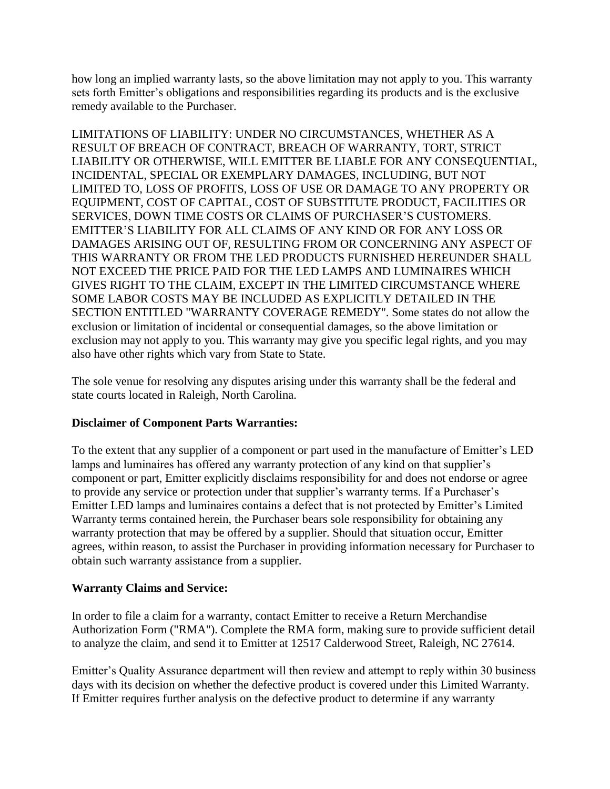how long an implied warranty lasts, so the above limitation may not apply to you. This warranty sets forth Emitter's obligations and responsibilities regarding its products and is the exclusive remedy available to the Purchaser.

LIMITATIONS OF LIABILITY: UNDER NO CIRCUMSTANCES, WHETHER AS A RESULT OF BREACH OF CONTRACT, BREACH OF WARRANTY, TORT, STRICT LIABILITY OR OTHERWISE, WILL EMITTER BE LIABLE FOR ANY CONSEQUENTIAL, INCIDENTAL, SPECIAL OR EXEMPLARY DAMAGES, INCLUDING, BUT NOT LIMITED TO, LOSS OF PROFITS, LOSS OF USE OR DAMAGE TO ANY PROPERTY OR EQUIPMENT, COST OF CAPITAL, COST OF SUBSTITUTE PRODUCT, FACILITIES OR SERVICES, DOWN TIME COSTS OR CLAIMS OF PURCHASER'S CUSTOMERS. EMITTER'S LIABILITY FOR ALL CLAIMS OF ANY KIND OR FOR ANY LOSS OR DAMAGES ARISING OUT OF, RESULTING FROM OR CONCERNING ANY ASPECT OF THIS WARRANTY OR FROM THE LED PRODUCTS FURNISHED HEREUNDER SHALL NOT EXCEED THE PRICE PAID FOR THE LED LAMPS AND LUMINAIRES WHICH GIVES RIGHT TO THE CLAIM, EXCEPT IN THE LIMITED CIRCUMSTANCE WHERE SOME LABOR COSTS MAY BE INCLUDED AS EXPLICITLY DETAILED IN THE SECTION ENTITLED "WARRANTY COVERAGE REMEDY". Some states do not allow the exclusion or limitation of incidental or consequential damages, so the above limitation or exclusion may not apply to you. This warranty may give you specific legal rights, and you may also have other rights which vary from State to State.

The sole venue for resolving any disputes arising under this warranty shall be the federal and state courts located in Raleigh, North Carolina.

#### **Disclaimer of Component Parts Warranties:**

To the extent that any supplier of a component or part used in the manufacture of Emitter's LED lamps and luminaires has offered any warranty protection of any kind on that supplier's component or part, Emitter explicitly disclaims responsibility for and does not endorse or agree to provide any service or protection under that supplier's warranty terms. If a Purchaser's Emitter LED lamps and luminaires contains a defect that is not protected by Emitter's Limited Warranty terms contained herein, the Purchaser bears sole responsibility for obtaining any warranty protection that may be offered by a supplier. Should that situation occur, Emitter agrees, within reason, to assist the Purchaser in providing information necessary for Purchaser to obtain such warranty assistance from a supplier.

#### **Warranty Claims and Service:**

In order to file a claim for a warranty, contact Emitter to receive a Return Merchandise Authorization Form ("RMA"). Complete the RMA form, making sure to provide sufficient detail to analyze the claim, and send it to Emitter at 12517 Calderwood Street, Raleigh, NC 27614.

Emitter's Quality Assurance department will then review and attempt to reply within 30 business days with its decision on whether the defective product is covered under this Limited Warranty. If Emitter requires further analysis on the defective product to determine if any warranty